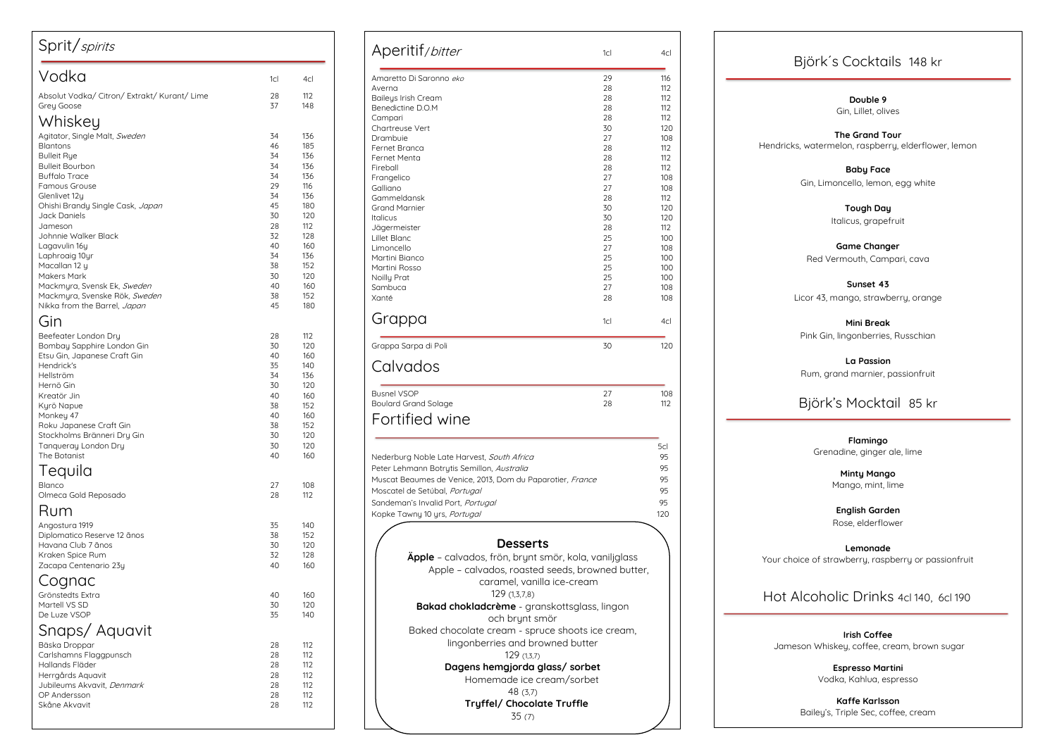| Sprit/spirits                                                                                                                                                                                                                                                                 |                                                                            |                                                                                         |
|-------------------------------------------------------------------------------------------------------------------------------------------------------------------------------------------------------------------------------------------------------------------------------|----------------------------------------------------------------------------|-----------------------------------------------------------------------------------------|
| Vodka                                                                                                                                                                                                                                                                         | 1cl                                                                        | 4cl                                                                                     |
| Absolut Vodka/Citron/Extrakt/Kurant/Lime<br>Grey Goose                                                                                                                                                                                                                        | 28<br>37                                                                   | 112<br>148                                                                              |
| Whiskey<br>Agitator, Single Malt, Sweden<br><b>Blantons</b><br><b>Bulleit Rye</b><br><b>Bulleit Bourbon</b><br><b>Buffalo Trace</b><br><b>Famous Grouse</b>                                                                                                                   | 34<br>46<br>34<br>34<br>34<br>29                                           | 136<br>185<br>136<br>136<br>136<br>116                                                  |
| Glenlivet 12y<br>Ohishi Brandy Single Cask, Japan<br>Jack Daniels<br>Jameson<br>Johnnie Walker Black<br>Lagavulin 16y<br>Laphroaig 10yr<br>Macallan 12 y                                                                                                                      | 34<br>45<br>30<br>28<br>32<br>40<br>34<br>38                               | 136<br>180<br>120<br>112<br>128<br>160<br>136<br>152                                    |
| <b>Makers Mark</b><br>Mackmyra, Svensk Ek, Sweden<br>Mackmyra, Svenske Rök, Sweden<br>Nikka from the Barrel, Japan                                                                                                                                                            | 30<br>40<br>38<br>45                                                       | 120<br>160<br>152<br>180                                                                |
| Gin<br>Beefeater London Dry<br>Bombay Sapphire London Gin<br>Etsu Gin, Japanese Craft Gin<br>Hendrick's<br>Hellström<br>Hernö Gin<br>Kreatör Jin<br>Kyrö Napue<br>Monkey 47<br>Roku Japanese Craft Gin<br>Stockholms Bränneri Dry Gin<br>Tanqueray London Dry<br>The Botanist | 28<br>30<br>40<br>35<br>34<br>30<br>40<br>38<br>40<br>38<br>30<br>30<br>40 | 112<br>120<br>160<br>140<br>136<br>120<br>160<br>152<br>160<br>152<br>120<br>120<br>160 |
| Tequila<br>Blanco<br>Olmeca Gold Reposado                                                                                                                                                                                                                                     | 27<br>28                                                                   | 108<br>112                                                                              |
| Rum<br>Angostura 1919<br>Diplomatico Reserve 12 ãnos<br>Havana Club 7 ãnos<br>Kraken Spice Rum<br>Zacapa Centenario 23y                                                                                                                                                       | 35<br>38<br>30<br>32<br>40                                                 | 140<br>152<br>120<br>128<br>160                                                         |
| Cognac<br>Grönstedts Extra<br>Martell VS SD<br>De Luze VSOP<br>Snaps/Aquavit                                                                                                                                                                                                  | 40<br>30<br>35                                                             | 160<br>120<br>140                                                                       |
| Bäska Droppar<br>Carlshamns Flaggpunsch<br>Hallands Fläder<br>Herrgårds Aquavit<br>Jubileums Akvavit, Denmark<br>OP Andersson<br>Skåne Akvavit                                                                                                                                | 28<br>28<br>28<br>28<br>28<br>28<br>28                                     | 112<br>112<br>112<br>112<br>112<br>112<br>112                                           |

## Björk´s Cocktails 148 kr

**Double 9** Gin, Lillet, olives

**The Grand Tour** Hendricks, watermelon, raspberry, elderflower, lemon

> **Baby Face**  Gin , Limoncello, lemon, egg white

| Aperitif/bitter                                              | 1cl             | 4cl        |
|--------------------------------------------------------------|-----------------|------------|
| Amaretto Di Saronno eko                                      | 29              | 116        |
| Averna                                                       | 28              | 112        |
| <b>Baileys Irish Cream</b>                                   | 28              | 112        |
| Benedictine D.O.M                                            | 28              | 112        |
| Campari                                                      | 28              | 112        |
| Chartreuse Vert                                              | 30              | 120        |
| Drambuie<br>Fernet Branca                                    | 27<br>28        | 108<br>112 |
| Fernet Menta                                                 | 28              | 112        |
| Fireball                                                     | 28              | 112        |
| Frangelico                                                   | 27              | 108        |
| Galliano                                                     | 27              | 108        |
| Gammeldansk                                                  | 28              | 112        |
| <b>Grand Marnier</b>                                         | 30              | 120        |
| <b>Italicus</b>                                              | 30<br>28        | 120<br>112 |
| Jägermeister<br>Lillet Blanc                                 | 25              | 100        |
| Limoncello                                                   | 27              | 108        |
| Martini Bianco                                               | 25              | 100        |
| Martini Rosso                                                | 25              | 100        |
| Noilly Prat                                                  | 25              | 100        |
| Sambuca                                                      | 27              | 108        |
| Xanté                                                        | 28              | 108        |
| Grappa                                                       | 1 <sub>CI</sub> | 4cl        |
| Grappa Sarpa di Poli                                         | 30              | 120        |
|                                                              |                 |            |
| Calvados                                                     |                 |            |
| <b>Busnel VSOP</b>                                           | 27<br>28        | 108<br>112 |
| <b>Boulard Grand Solage</b>                                  |                 |            |
| Fortified wine                                               |                 |            |
|                                                              |                 | 5cl        |
| Nederburg Noble Late Harvest, South Africa                   |                 | 95         |
| Peter Lehmann Botrytis Semillon, Australia                   |                 | 95         |
| Muscat Beaumes de Venice, 2013, Dom du Paparotier, France    |                 | 95         |
| Moscatel de Setúbal, Portugal                                |                 | 95         |
| Sandeman's Invalid Port, Portugal                            |                 | 95         |
| Kopke Tawny 10 yrs, Portugal                                 |                 | 120        |
|                                                              |                 |            |
| <b>Desserts</b>                                              |                 |            |
| <b>Äpple</b> – calvados, frön, brynt smör, kola, vaniljglass |                 |            |
| Apple - calvados, roasted seeds, browned butter,             |                 |            |
| caramel, vanilla ice-cream                                   |                 |            |
| 129(1,3,7,8)                                                 |                 |            |
| Bakad chokladcrème - granskottsglass, lingon                 |                 |            |
|                                                              |                 |            |
| och brynt smör                                               |                 |            |
| Baked chocolate cream - spruce shoots ice cream,             |                 |            |
| lingonberries and browned butter                             |                 |            |
| 129(1,3,7)                                                   |                 |            |
| Dagens hemgjorda glass/ sorbet                               |                 |            |
| Homemade ice cream/sorbet                                    |                 |            |
| 48 (3,7)                                                     |                 |            |
| Tryffel/ Chocolate Truffle                                   |                 |            |
| 35(7)                                                        |                 |            |



**Tough Day** Italicus, grapefruit

**Game Changer**  Red Vermouth, Campari, cava

**Sunset 43** Licor 43, mango, strawberry, orange

**Mini Break** Pink Gin, lingonberries, Russchian

**La Passion**  Rum, grand marnier, passionfruit

Björk's Mocktail 85 kr

**Flamingo** Grenadine, ginger ale, lime

> **Minty Mango** Mango, mint, lime

**English Garden**  Rose, elderflower

**Lemonade** Your choice of strawberry, raspberry or passionfruit

Hot Alcoholic Drinks 4cl 140, 6cl 190

**Irish Coffee** Jameson Whiskey, coffee, cream, brown sugar

> **Espresso Martini**  Vodka, Kahlua, espresso

**Kaffe Karlsson** Bailey's, Triple Sec, coffee, cream